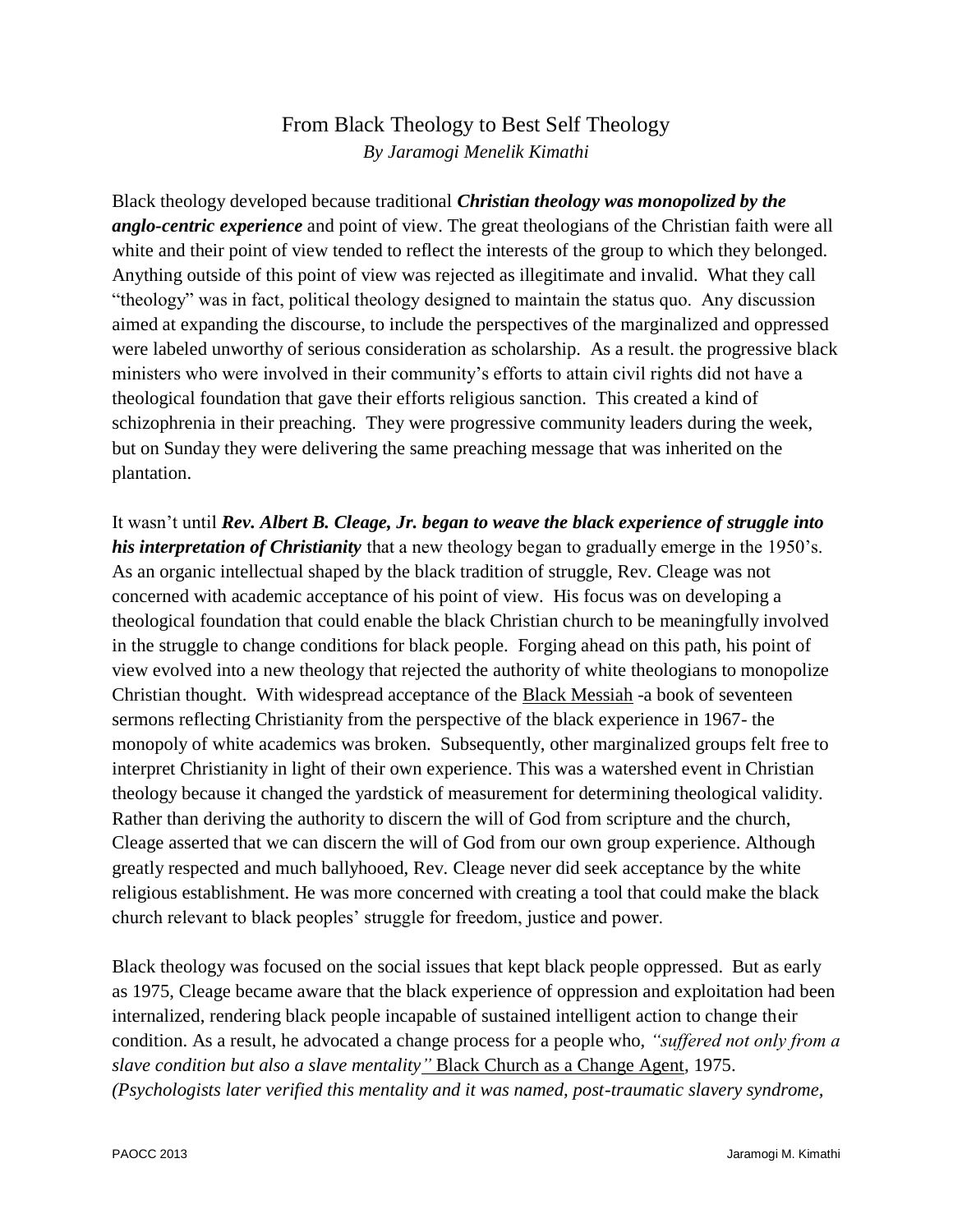## From Black Theology to Best Self Theology *By Jaramogi Menelik Kimathi*

Black theology developed because traditional *Christian theology was monopolized by the anglo-centric experience* and point of view. The great theologians of the Christian faith were all white and their point of view tended to reflect the interests of the group to which they belonged. Anything outside of this point of view was rejected as illegitimate and invalid. What they call "theology" was in fact, political theology designed to maintain the status quo. Any discussion aimed at expanding the discourse, to include the perspectives of the marginalized and oppressed were labeled unworthy of serious consideration as scholarship. As a result. the progressive black ministers who were involved in their community's efforts to attain civil rights did not have a theological foundation that gave their efforts religious sanction. This created a kind of schizophrenia in their preaching. They were progressive community leaders during the week, but on Sunday they were delivering the same preaching message that was inherited on the plantation.

It wasn't until *Rev. Albert B. Cleage, Jr. began to weave the black experience of struggle into his interpretation of Christianity* that a new theology began to gradually emerge in the 1950's. As an organic intellectual shaped by the black tradition of struggle, Rev. Cleage was not concerned with academic acceptance of his point of view. His focus was on developing a theological foundation that could enable the black Christian church to be meaningfully involved in the struggle to change conditions for black people. Forging ahead on this path, his point of view evolved into a new theology that rejected the authority of white theologians to monopolize Christian thought. With widespread acceptance of the Black Messiah -a book of seventeen sermons reflecting Christianity from the perspective of the black experience in 1967- the monopoly of white academics was broken. Subsequently, other marginalized groups felt free to interpret Christianity in light of their own experience. This was a watershed event in Christian theology because it changed the yardstick of measurement for determining theological validity. Rather than deriving the authority to discern the will of God from scripture and the church, Cleage asserted that we can discern the will of God from our own group experience. Although greatly respected and much ballyhooed, Rev. Cleage never did seek acceptance by the white religious establishment. He was more concerned with creating a tool that could make the black church relevant to black peoples' struggle for freedom, justice and power.

Black theology was focused on the social issues that kept black people oppressed. But as early as 1975, Cleage became aware that the black experience of oppression and exploitation had been internalized, rendering black people incapable of sustained intelligent action to change their condition. As a result, he advocated a change process for a people who, *"suffered not only from a slave condition but also a slave mentality"* Black Church as a Change Agent, 1975. *(Psychologists later verified this mentality and it was named, post-traumatic slavery syndrome,*